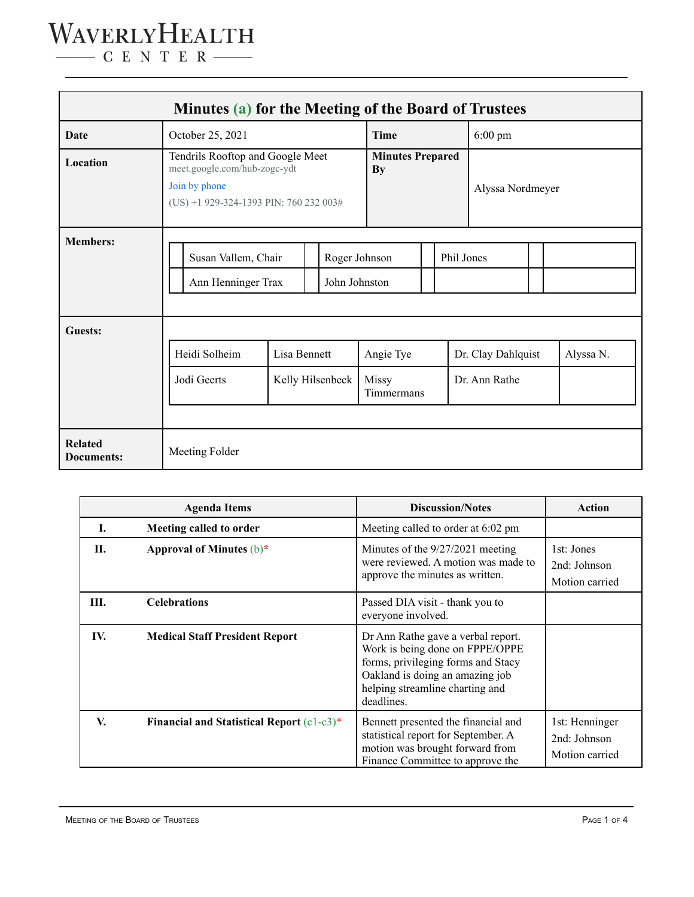## WAVERLYHEALTH  $\begin{tabular}{c} \quad \quad \textbf{C} \textbf{E} \textbf{N} \textbf{T} \textbf{E} \textbf{R} \end{tabular}$

| Minutes (a) for the Meeting of the Board of Trustees |                                                                                                                             |                                  |  |                                      |  |                  |                                     |            |  |           |  |  |
|------------------------------------------------------|-----------------------------------------------------------------------------------------------------------------------------|----------------------------------|--|--------------------------------------|--|------------------|-------------------------------------|------------|--|-----------|--|--|
| Date                                                 | October 25, 2021                                                                                                            |                                  |  | <b>Time</b>                          |  |                  | $6:00 \text{ pm}$                   |            |  |           |  |  |
| Location                                             | Tendrils Rooftop and Google Meet<br>meet.google.com/hub-zogc-ydt<br>Join by phone<br>(US) +1 929-324-1393 PIN: 760 232 003# |                                  |  | <b>Minutes Prepared</b><br><b>By</b> |  | Alyssa Nordmeyer |                                     |            |  |           |  |  |
| <b>Members:</b>                                      | Susan Vallem, Chair<br>Ann Henninger Trax                                                                                   | Roger Johnson<br>John Johnston   |  |                                      |  |                  |                                     | Phil Jones |  |           |  |  |
| Guests:                                              | Heidi Solheim<br>Jodi Geerts                                                                                                | Lisa Bennett<br>Kelly Hilsenbeck |  | Angie Tye<br>Missy<br>Timmermans     |  |                  | Dr. Clay Dahlquist<br>Dr. Ann Rathe |            |  | Alyssa N. |  |  |
| <b>Related</b><br><b>Documents:</b>                  | Meeting Folder                                                                                                              |                                  |  |                                      |  |                  |                                     |            |  |           |  |  |

|     | <b>Agenda Items</b>                          | <b>Discussion/Notes</b>                                                                                                                                                                         | <b>Action</b>                                    |
|-----|----------------------------------------------|-------------------------------------------------------------------------------------------------------------------------------------------------------------------------------------------------|--------------------------------------------------|
| L.  | Meeting called to order                      | Meeting called to order at 6:02 pm                                                                                                                                                              |                                                  |
| II. | Approval of Minutes $(b)^*$                  | Minutes of the 9/27/2021 meeting<br>were reviewed. A motion was made to<br>approve the minutes as written.                                                                                      | 1st: Jones<br>2nd: Johnson<br>Motion carried     |
| Ш.  | <b>Celebrations</b>                          | Passed DIA visit - thank you to<br>everyone involved.                                                                                                                                           |                                                  |
| IV. | <b>Medical Staff President Report</b>        | Dr Ann Rathe gave a verbal report.<br>Work is being done on FPPE/OPPE<br>forms, privileging forms and Stacy<br>Oakland is doing an amazing job<br>helping streamline charting and<br>deadlines. |                                                  |
| V.  | Financial and Statistical Report $(c1-c3)^*$ | Bennett presented the financial and<br>statistical report for September. A<br>motion was brought forward from<br>Finance Committee to approve the                                               | 1st: Henninger<br>2nd: Johnson<br>Motion carried |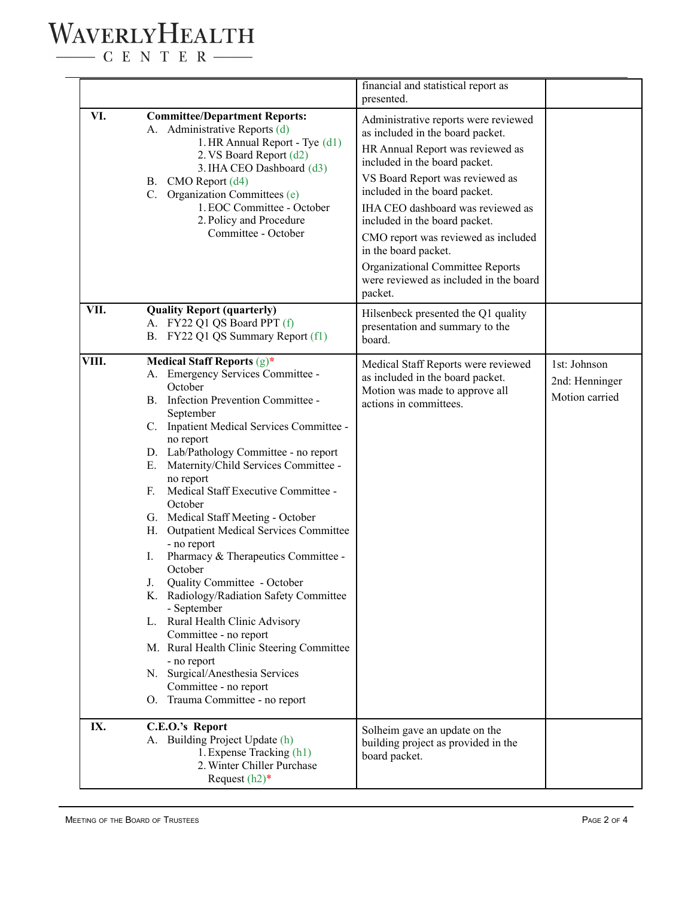## WAVERLYHEALTH

 $\begin{tabular}{c} \quad \quad \textbf{C} \textbf{E} \textbf{N} \textbf{T} \textbf{E} \textbf{R} \end{tabular}$ 

|       |                                                                                                                                                                                                                                                                                                                                                                                                                                                                                                                                                                                                                                                                                                                                                                                                                                            | financial and statistical report as<br>presented.                                                                                                                                                                                                                                                                                                                                                                                               |                                                  |
|-------|--------------------------------------------------------------------------------------------------------------------------------------------------------------------------------------------------------------------------------------------------------------------------------------------------------------------------------------------------------------------------------------------------------------------------------------------------------------------------------------------------------------------------------------------------------------------------------------------------------------------------------------------------------------------------------------------------------------------------------------------------------------------------------------------------------------------------------------------|-------------------------------------------------------------------------------------------------------------------------------------------------------------------------------------------------------------------------------------------------------------------------------------------------------------------------------------------------------------------------------------------------------------------------------------------------|--------------------------------------------------|
| VI.   | <b>Committee/Department Reports:</b><br>A. Administrative Reports (d)<br>1. HR Annual Report - Tye (d1)<br>2. VS Board Report (d2)<br>3. IHA CEO Dashboard (d3)<br>B. CMO Report (d4)<br>C. Organization Committees (e)<br>1. EOC Committee - October<br>2. Policy and Procedure<br>Committee - October                                                                                                                                                                                                                                                                                                                                                                                                                                                                                                                                    | Administrative reports were reviewed<br>as included in the board packet.<br>HR Annual Report was reviewed as<br>included in the board packet.<br>VS Board Report was reviewed as<br>included in the board packet.<br>IHA CEO dashboard was reviewed as<br>included in the board packet.<br>CMO report was reviewed as included<br>in the board packet.<br>Organizational Committee Reports<br>were reviewed as included in the board<br>packet. |                                                  |
| VII.  | <b>Quality Report (quarterly)</b><br>A. FY22 Q1 QS Board PPT (f)<br>B. FY22 Q1 QS Summary Report (f1)                                                                                                                                                                                                                                                                                                                                                                                                                                                                                                                                                                                                                                                                                                                                      | Hilsenbeck presented the Q1 quality<br>presentation and summary to the<br>board.                                                                                                                                                                                                                                                                                                                                                                |                                                  |
| VIII. | Medical Staff Reports (g)*<br>A. Emergency Services Committee -<br>October<br>B. Infection Prevention Committee -<br>September<br>C. Inpatient Medical Services Committee -<br>no report<br>D. Lab/Pathology Committee - no report<br>E. Maternity/Child Services Committee -<br>no report<br>Medical Staff Executive Committee -<br>$F_{\cdot}$<br>October<br>G. Medical Staff Meeting - October<br>H. Outpatient Medical Services Committee<br>- no report<br>Pharmacy & Therapeutics Committee -<br>I.<br>October<br>Quality Committee - October<br>J.<br>K. Radiology/Radiation Safety Committee<br>- September<br>L. Rural Health Clinic Advisory<br>Committee - no report<br>M. Rural Health Clinic Steering Committee<br>- no report<br>N. Surgical/Anesthesia Services<br>Committee - no report<br>O. Trauma Committee - no report | Medical Staff Reports were reviewed<br>as included in the board packet.<br>Motion was made to approve all<br>actions in committees.                                                                                                                                                                                                                                                                                                             | 1st: Johnson<br>2nd: Henninger<br>Motion carried |
| IX.   | C.E.O.'s Report<br>A. Building Project Update (h)<br>1. Expense Tracking (h1)<br>2. Winter Chiller Purchase<br>Request $(h2)*$                                                                                                                                                                                                                                                                                                                                                                                                                                                                                                                                                                                                                                                                                                             | Solheim gave an update on the<br>building project as provided in the<br>board packet.                                                                                                                                                                                                                                                                                                                                                           |                                                  |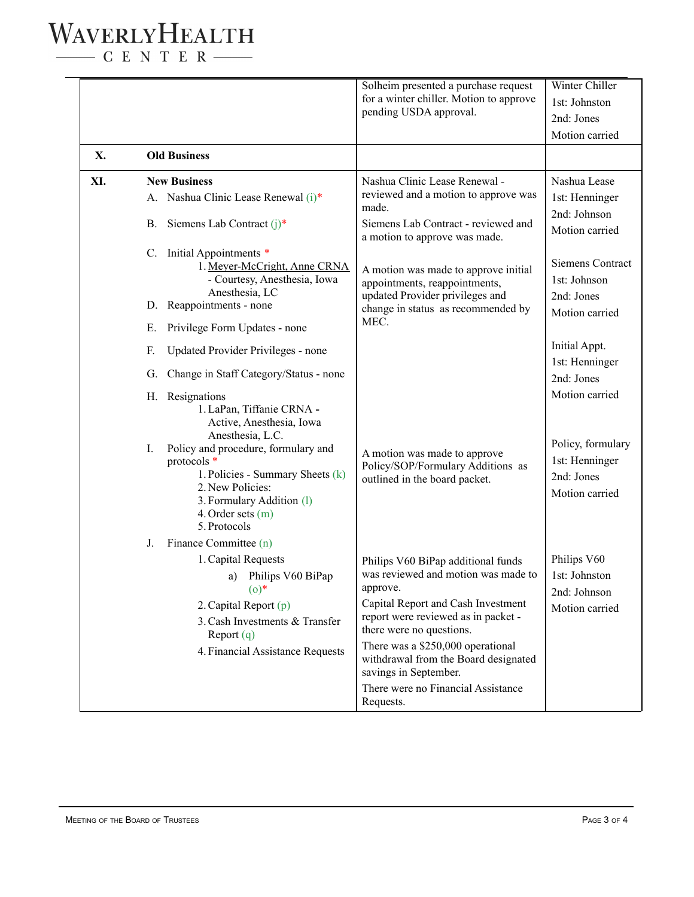## WAVERLYHEALTH

 $\begin{tabular}{c} \quad \quad \textbf{C} \text{ E} \text{ N} \text{ T} \text{ E} \text{ R} \end{tabular}$ 

|     |                                                                                                                                                                                                                                      | Solheim presented a purchase request<br>for a winter chiller. Motion to approve<br>pending USDA approval.                                                                                                                                                                                                                                               | Winter Chiller<br>1st: Johnston<br>2nd: Jones<br>Motion carried     |
|-----|--------------------------------------------------------------------------------------------------------------------------------------------------------------------------------------------------------------------------------------|---------------------------------------------------------------------------------------------------------------------------------------------------------------------------------------------------------------------------------------------------------------------------------------------------------------------------------------------------------|---------------------------------------------------------------------|
| X.  | <b>Old Business</b>                                                                                                                                                                                                                  |                                                                                                                                                                                                                                                                                                                                                         |                                                                     |
| XI. | <b>New Business</b><br>A. Nashua Clinic Lease Renewal (i)*<br>B. Siemens Lab Contract $(i)^*$                                                                                                                                        | Nashua Clinic Lease Renewal -<br>reviewed and a motion to approve was<br>made.<br>Siemens Lab Contract - reviewed and<br>a motion to approve was made.                                                                                                                                                                                                  | Nashua Lease<br>1st: Henninger<br>2nd: Johnson<br>Motion carried    |
|     | C. Initial Appointments *<br>1. Meyer-McCright, Anne CRNA<br>- Courtesy, Anesthesia, Iowa<br>Anesthesia, LC<br>D. Reappointments - none<br>Privilege Form Updates - none<br>Е.                                                       | A motion was made to approve initial<br>appointments, reappointments,<br>updated Provider privileges and<br>change in status as recommended by<br>MEC.                                                                                                                                                                                                  | Siemens Contract<br>1st: Johnson<br>2nd: Jones<br>Motion carried    |
|     | Updated Provider Privileges - none<br>F.<br>Change in Staff Category/Status - none<br>G.<br>H. Resignations<br>1. LaPan, Tiffanie CRNA -                                                                                             |                                                                                                                                                                                                                                                                                                                                                         | Initial Appt.<br>1st: Henninger<br>2nd: Jones<br>Motion carried     |
|     | Active, Anesthesia, Iowa<br>Anesthesia, L.C.<br>Policy and procedure, formulary and<br>I.<br>protocols *<br>1. Policies - Summary Sheets (k)<br>2. New Policies:<br>3. Formulary Addition (1)<br>4. Order sets $(m)$<br>5. Protocols | A motion was made to approve<br>Policy/SOP/Formulary Additions as<br>outlined in the board packet.                                                                                                                                                                                                                                                      | Policy, formulary<br>1st: Henninger<br>2nd: Jones<br>Motion carried |
|     | Finance Committee (n)<br>J.<br>1. Capital Requests<br>a) Philips V60 BiPap<br>$(0)^*$<br>2. Capital Report $(p)$<br>3. Cash Investments & Transfer<br>Report $(q)$<br>4. Financial Assistance Requests                               | Philips V60 BiPap additional funds<br>was reviewed and motion was made to<br>approve.<br>Capital Report and Cash Investment<br>report were reviewed as in packet -<br>there were no questions.<br>There was a \$250,000 operational<br>withdrawal from the Board designated<br>savings in September.<br>There were no Financial Assistance<br>Requests. | Philips V60<br>1st: Johnston<br>2nd: Johnson<br>Motion carried      |